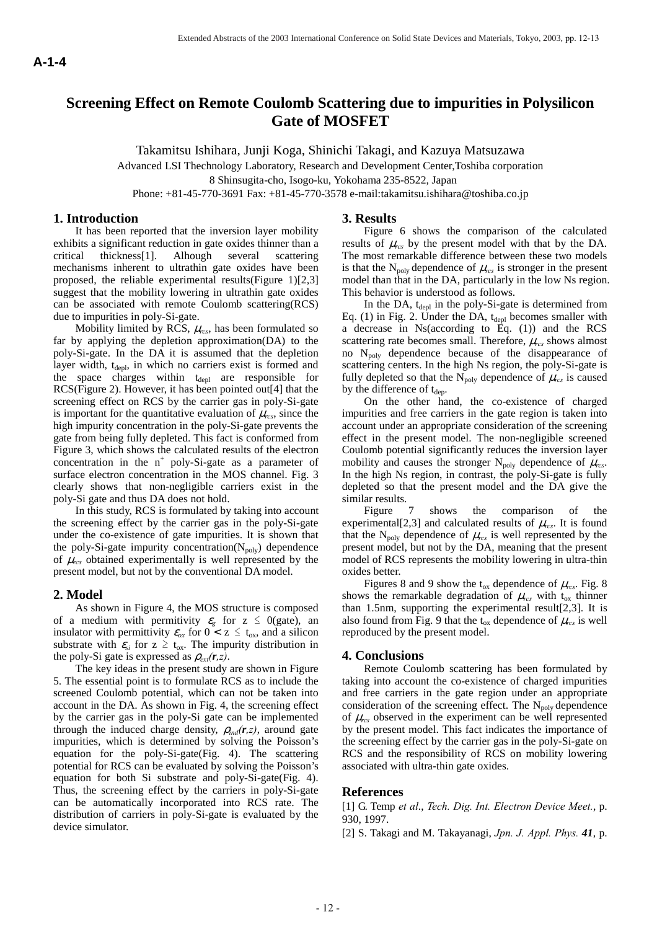# **Screening Effect on Remote Coulomb Scattering due to impurities in Polysilicon Gate of MOSFET**

Takamitsu Ishihara, Junji Koga, Shinichi Takagi, and Kazuya Matsuzawa

Advanced LSI Thechnology Laboratory, Research and Development Center,Toshiba corporation

8 Shinsugita-cho, Isogo-ku, Yokohama 235-8522, Japan

Phone: +81-45-770-3691 Fax: +81-45-770-3578 e-mail:takamitsu.ishihara@toshiba.co.jp

### **1. Introduction**

It has been reported that the inversion layer mobility exhibits a significant reduction in gate oxides thinner than a critical thickness[1]. Alhough several scattering mechanisms inherent to ultrathin gate oxides have been proposed, the reliable experimental results(Figure 1)[2,3] suggest that the mobility lowering in ultrathin gate oxides can be associated with remote Coulomb scattering(RCS) due to impurities in poly-Si-gate.

Mobility limited by RCS,  $\mu_{res}$ , has been formulated so far by applying the depletion approximation(DA) to the poly-Si-gate. In the DA it is assumed that the depletion layer width, t<sub>depl</sub>, in which no carriers exist is formed and the space charges within  $t_{\text{depl}}$  are responsible for RCS(Figure 2). However, it has been pointed out[4] that the screening effect on RCS by the carrier gas in poly-Si-gate is important for the quantitative evaluation of  $\mu_{res}$ , since the high impurity concentration in the poly-Si-gate prevents the gate from being fully depleted. This fact is conformed from Figure 3, which shows the calculated results of the electron concentration in the  $n^+$  poly-Si-gate as a parameter of surface electron concentration in the MOS channel. Fig. 3 clearly shows that non-negligible carriers exist in the poly-Si gate and thus DA does not hold. A-1-4<br> **A-1-4** persons in the same of the same of the same of the same of the same of the same of the same of the same of the same of the same of the same of the same of the same of the same of the same of the same of the

In this study, RCS is formulated by taking into account the screening effect by the carrier gas in the poly-Si-gate under the co-existence of gate impurities. It is shown that the poly-Si-gate impurity concentration( $N_{poly}$ ) dependence of  $\mu_{res}$  obtained experimentally is well represented by the present model, but not by the conventional DA model.

## **2. Model**

As shown in Figure 4, the MOS structure is composed of a medium with permitivity  $\varepsilon_g$  for  $z \le 0$  (gate), an insulator with permittivity  $\varepsilon_{ox}$  for  $0 < z \le t_{ox}$ , and a silicon substrate with  $\varepsilon_{si}$  for  $z \ge t_{ox}$ . The impurity distribution in the poly-Si gate is expressed as  $\rho_{ext}(\mathbf{r},z)$ .

The key ideas in the present study are shown in Figure 5. The essential point is to formulate RCS as to include the screened Coulomb potential, which can not be taken into account in the DA. As shown in Fig. 4, the screening effect by the carrier gas in the poly-Si gate can be implemented through the induced charge density,  $\rho_{ind}(\mathbf{r},z)$ , around gate impurities, which is determined by solving the Poisson's equation for the poly-Si-gate(Fig. 4). The scattering potential for RCS can be evaluated by solving the Poisson's equation for both Si substrate and poly-Si-gate(Fig. 4). Thus, the screening effect by the carriers in poly-Si-gate can be automatically incorporated into RCS rate. The distribution of carriers in poly-Si-gate is evaluated by the device simulator.

#### **3. Results**

Figure 6 shows the comparison of the calculated results of  $\mu_{res}$  by the present model with that by the DA. The most remarkable difference between these two models is that the  $N_{poly}$  dependence of  $\mu_{res}$  is stronger in the present model than that in the DA, particularly in the low Ns region. This behavior is understood as follows.

In the DA,  $t_{depl}$  in the poly-Si-gate is determined from Eq. (1) in Fig. 2. Under the DA,  $t_{\text{depl}}$  becomes smaller with a decrease in Ns(according to Eq. (1)) and the RCS scattering rate becomes small. Therefore,  $\mu_{rcs}$  shows almost no Npoly dependence because of the disappearance of scattering centers. In the high Ns region, the poly-Si-gate is fully depleted so that the  $N_{poly}$  dependence of  $\mu_{res}$  is caused by the difference of  $t_{dep}$ .

On the other hand, the co-existence of charged impurities and free carriers in the gate region is taken into account under an appropriate consideration of the screening effect in the present model. The non-negligible screened Coulomb potential significantly reduces the inversion layer mobility and causes the stronger  $N_{poly}$  dependence of  $\mu_{res}$ . In the high Ns region, in contrast, the poly-Si-gate is fully depleted so that the present model and the DA give the similar results.

Figure 7 shows the comparison of the experimental<sup>[2,3]</sup> and calculated results of  $\mu_{res}$ . It is found that the N<sub>poly</sub> dependence of  $\mu_{res}$  is well represented by the present model, but not by the DA, meaning that the present model of RCS represents the mobility lowering in ultra-thin oxides better.

Figures 8 and 9 show the  $t_{ox}$  dependence of  $\mu_{rcs}$ . Fig. 8 shows the remarkable degradation of  $\mu_{rcs}$  with t<sub>ox</sub> thinner than 1.5nm, supporting the experimental result[2,3]. It is also found from Fig. 9 that the  $t_{ox}$  dependence of  $\mu_{rcs}$  is well reproduced by the present model.

## **4. Conclusions**

Remote Coulomb scattering has been formulated by taking into account the co-existence of charged impurities and free carriers in the gate region under an appropriate consideration of the screening effect. The  $N_{poly}$  dependence of  $\mu_{res}$  observed in the experiment can be well represented by the present model. This fact indicates the importance of the screening effect by the carrier gas in the poly-Si-gate on RCS and the responsibility of RCS on mobility lowering associated with ultra-thin gate oxides.

#### **References**

[1] G. Temp *et al*., *Tech. Dig. Int. Electron Device Meet.*, p. 930, 1997.

[2] S. Takagi and M. Takayanagi, *Jpn. J. Appl. Phys. 41*, p.